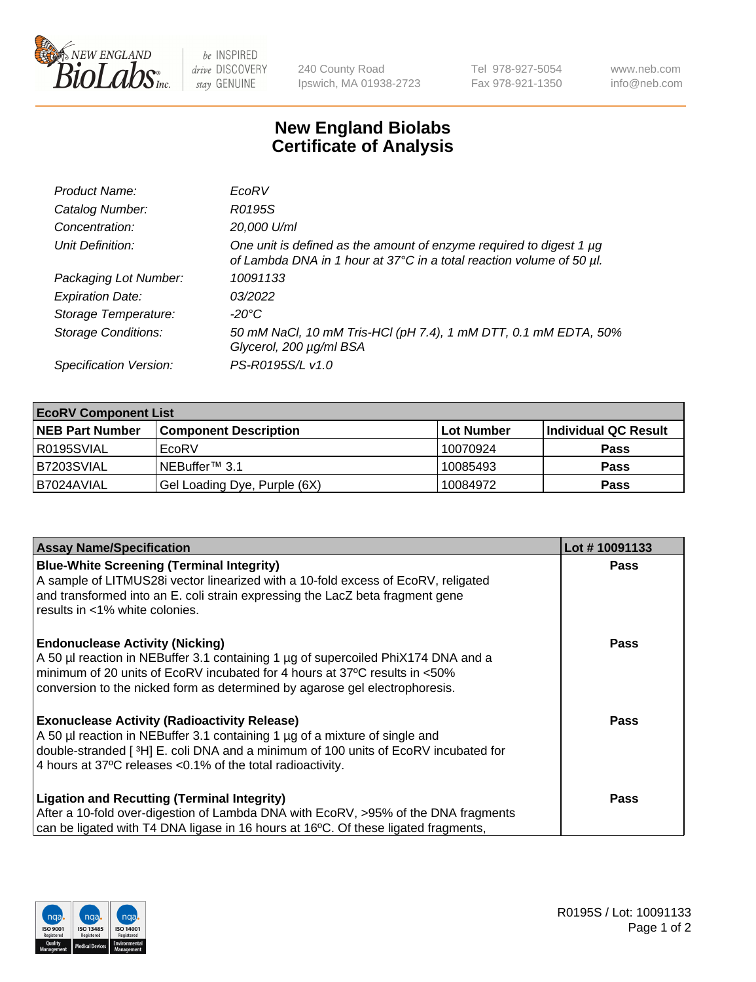

 $be$  INSPIRED drive DISCOVERY stay GENUINE

240 County Road Ipswich, MA 01938-2723 Tel 978-927-5054 Fax 978-921-1350 www.neb.com info@neb.com

## **New England Biolabs Certificate of Analysis**

| Product Name:              | EcoRV                                                                                                                                       |
|----------------------------|---------------------------------------------------------------------------------------------------------------------------------------------|
| Catalog Number:            | R0195S                                                                                                                                      |
| Concentration:             | 20,000 U/ml                                                                                                                                 |
| Unit Definition:           | One unit is defined as the amount of enzyme required to digest 1 µg<br>of Lambda DNA in 1 hour at 37°C in a total reaction volume of 50 µl. |
| Packaging Lot Number:      | 10091133                                                                                                                                    |
| <b>Expiration Date:</b>    | 03/2022                                                                                                                                     |
| Storage Temperature:       | $-20^{\circ}$ C                                                                                                                             |
| <b>Storage Conditions:</b> | 50 mM NaCl, 10 mM Tris-HCl (pH 7.4), 1 mM DTT, 0.1 mM EDTA, 50%<br>Glycerol, 200 µg/ml BSA                                                  |
| Specification Version:     | PS-R0195S/L v1.0                                                                                                                            |

| <b>EcoRV Component List</b> |                              |            |                      |  |  |
|-----------------------------|------------------------------|------------|----------------------|--|--|
| <b>NEB Part Number</b>      | <b>Component Description</b> | Lot Number | Individual QC Result |  |  |
| l R0195SVIAL                | EcoRV                        | 10070924   | <b>Pass</b>          |  |  |
| B7203SVIAL                  | INEBuffer™ 3.1               | 10085493   | <b>Pass</b>          |  |  |
| IB7024AVIAL                 | Gel Loading Dye, Purple (6X) | 10084972   | <b>Pass</b>          |  |  |

| <b>Assay Name/Specification</b>                                                                                                                                    | Lot #10091133 |
|--------------------------------------------------------------------------------------------------------------------------------------------------------------------|---------------|
| <b>Blue-White Screening (Terminal Integrity)</b>                                                                                                                   | <b>Pass</b>   |
| A sample of LITMUS28i vector linearized with a 10-fold excess of EcoRV, religated<br>and transformed into an E. coli strain expressing the LacZ beta fragment gene |               |
| results in <1% white colonies.                                                                                                                                     |               |
|                                                                                                                                                                    |               |
| <b>Endonuclease Activity (Nicking)</b>                                                                                                                             | <b>Pass</b>   |
| A 50 µl reaction in NEBuffer 3.1 containing 1 µg of supercoiled PhiX174 DNA and a                                                                                  |               |
| minimum of 20 units of EcoRV incubated for 4 hours at 37°C results in <50%                                                                                         |               |
| conversion to the nicked form as determined by agarose gel electrophoresis.                                                                                        |               |
| <b>Exonuclease Activity (Radioactivity Release)</b>                                                                                                                | Pass          |
| A 50 µl reaction in NEBuffer 3.1 containing 1 µg of a mixture of single and                                                                                        |               |
| double-stranded [ <sup>3</sup> H] E. coli DNA and a minimum of 100 units of EcoRV incubated for                                                                    |               |
| 4 hours at 37°C releases < 0.1% of the total radioactivity.                                                                                                        |               |
| <b>Ligation and Recutting (Terminal Integrity)</b>                                                                                                                 | <b>Pass</b>   |
| After a 10-fold over-digestion of Lambda DNA with EcoRV, >95% of the DNA fragments                                                                                 |               |
| can be ligated with T4 DNA ligase in 16 hours at 16°C. Of these ligated fragments,                                                                                 |               |